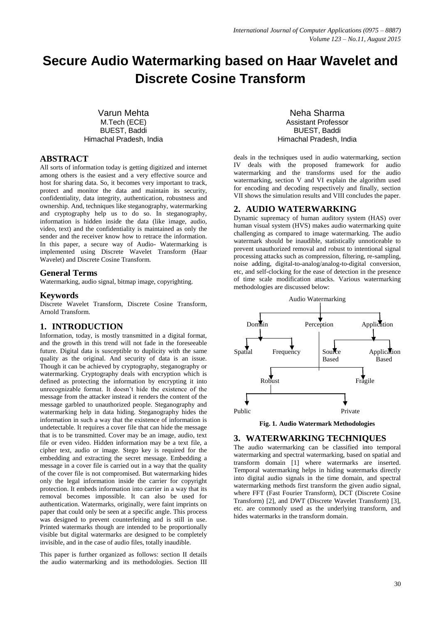# **Secure Audio Watermarking based on Haar Wavelet and Discrete Cosine Transform**

Varun Mehta M.Tech (ECE) BUEST, Baddi Himachal Pradesh, India

# **ABSTRACT**

All sorts of information today is getting digitized and internet among others is the easiest and a very effective source and host for sharing data. So, it becomes very important to track, protect and monitor the data and maintain its security, confidentiality, data integrity, authentication, robustness and ownership. And, techniques like steganography, watermarking and cryptography help us to do so. In steganography, information is hidden inside the data (like image, audio, video, text) and the confidentiality is maintained as only the sender and the receiver know how to retrace the information. In this paper, a secure way of Audio- Watermarking is implemented using Discrete Wavelet Transform (Haar Wavelet) and Discrete Cosine Transform.

# **General Terms**

Watermarking, audio signal, bitmap image, copyrighting.

## **Keywords**

Discrete Wavelet Transform, Discrete Cosine Transform, Arnold Transform.

## **1. INTRODUCTION**

Information, today, is mostly transmitted in a digital format, and the growth in this trend will not fade in the foreseeable future. Digital data is susceptible to duplicity with the same quality as the original. And security of data is an issue. Though it can be achieved by cryptography, steganography or watermarking. Cryptography deals with encryption which is defined as protecting the information by encrypting it into unrecognizable format. It doesn't hide the existence of the message from the attacker instead it renders the content of the message garbled to unauthorized people. Steganography and watermarking help in data hiding. Steganography hides the information in such a way that the existence of information is undetectable. It requires a cover file that can hide the message that is to be transmitted. Cover may be an image, audio, text file or even video. Hidden information may be a text file, a cipher text, audio or image. Stego key is required for the embedding and extracting the secret message. Embedding a message in a cover file is carried out in a way that the quality of the cover file is not compromised. But watermarking hides only the legal information inside the carrier for copyright protection. It embeds information into carrier in a way that its removal becomes impossible. It can also be used for authentication. Watermarks, originally, were faint imprints on paper that could only be seen at a specific angle. This process was designed to prevent counterfeiting and is still in use. Printed watermarks though are intended to be proportionally visible but digital watermarks are designed to be completely invisible, and in the case of audio files, totally inaudible.

This paper is further organized as follows: section II details the audio watermarking and its methodologies. Section III

Neha Sharma Assistant Professor BUEST, Baddi Himachal Pradesh, India

deals in the techniques used in audio watermarking, section IV deals with the proposed framework for audio watermarking and the transforms used for the audio watermarking, section V and VI explain the algorithm used for encoding and decoding respectively and finally, section VII shows the simulation results and VIII concludes the paper.

# **2. AUDIO WATERWARKING**

Dynamic supremacy of human auditory system (HAS) over human visual system (HVS) makes audio watermarking quite challenging as compared to image watermarking. The audio watermark should be inaudible, statistically unnoticeable to prevent unauthorized removal and robust to intentional signal processing attacks such as compression, filtering, re-sampling, noise adding, digital-to-analog/analog-to-digital conversion, etc, and self-clocking for the ease of detection in the presence of time scale modification attacks. Various watermarking methodologies are discussed below:



**Fig. 1. Audio Watermark Methodologies**

#### **3. WATERWARKING TECHNIQUES**

The audio watermarking can be classified into temporal watermarking and spectral watermarking, based on spatial and transform domain [1] where watermarks are inserted. Temporal watermarking helps in hiding watermarks directly into digital audio signals in the time domain, and spectral watermarking methods first transform the given audio signal, where FFT (Fast Fourier Transform), DCT (Discrete Cosine Transform) [2], and DWT (Discrete Wavelet Transform) [3], etc. are commonly used as the underlying transform, and hides watermarks in the transform domain.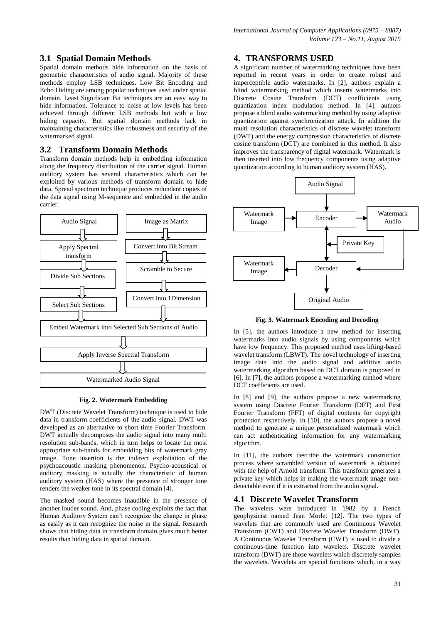# **3.1 Spatial Domain Methods**

Spatial domain methods hide information on the basis of geometric characteristics of audio signal. Majority of these methods employ LSB techniques. Low Bit Encoding and Echo Hiding are among popular techniques used under spatial domain. Least Significant Bit techniques are an easy way to hide information. Tolerance to noise at low levels has been achieved through different LSB methods but with a low hiding capacity. But spatial domain methods lack in maintaining characteristics like robustness and security of the watermarked signal.

# **3.2 Transform Domain Methods**

Transform domain methods help in embedding information along the frequency distribution of the carrier signal. Human auditory system has several characteristics which can be exploited by various methods of transform domain to hide data. Spread spectrum technique produces redundant copies of the data signal using M-sequence and embedded in the audio carrier.



**Fig. 2. Watermark Embedding**

DWT (Discrete Wavelet Transform) technique is used to hide data in transform coefficients of the audio signal. DWT was developed as an alternative to short time Fourier Transform. DWT actually decomposes the audio signal into many multi resolution sub-bands, which in turn helps to locate the most appropriate sub-bands for embedding bits of watermark gray image. Tone insertion is the indirect exploitation of the psychoacoustic masking phenomenon. Psycho-acoustical or auditory masking is actually the characteristic of human auditory system (HAS) where the presence of stronger tone renders the weaker tone in its spectral domain [4].

The masked sound becomes inaudible in the presence of another louder sound. And, phase coding exploits the fact that Human Auditory System can't recognize the change in phase as easily as it can recognize the noise in the signal. Research shows that hiding data in transform domain gives much better results than hiding data in spatial domain.

# **4. TRANSFORMS USED**

A significant number of watermarking techniques have been reported in recent years in order to create robust and imperceptible audio watermarks. In [2], authors explain a blind watermarking method which inserts watermarks into Discrete Cosine Transform (DCT) coefficients using quantization index modulation method. In [4], authors propose a blind audio watermarking method by using adaptive quantization against synchronization attack. In addition the multi resolution characteristics of discrete wavelet transform (DWT) and the energy compression characteristics of discrete cosine transform (DCT) are combined in this method. It also improves the transparency of digital watermark. Watermark is then inserted into low frequency components using adaptive quantization according to human auditory system (HAS).



**Fig. 3. Watermark Encoding and Decoding**

In [5], the authors introduce a new method for inserting watermarks into audio signals by using components which have low frequency. This proposed method uses lifting-based wavelet transform (LBWT). The novel technology of inserting image data into the audio signal and additive audio watermarking algorithm based on DCT domain is proposed in [6]. In [7], the authors propose a watermarking method where DCT coefficients are used.

In [8] and [9], the authors propose a new watermarking system using Discrete Fourier Transform (DFT) and First Fourier Transform (FFT) of digital contents for copyright protection respectively. In [10], the authors propose a novel method to generate a unique personalized watermark which can act authenticating information for any watermarking algorithm.

In [11], the authors describe the watermark construction process where scrambled version of watermark is obtained with the help of Arnold transform. This transform generates a private key which helps in making the watermark image nondetectable even if it is extracted from the audio signal.

# **4.1 Discrete Wavelet Transform**

The wavelets were introduced in 1982 by a French geophysicist named Jean Morlet [12]. The two types of wavelets that are commonly used are Continuous Wavelet Transform (CWT) and Discrete Wavelet Transform (DWT). A Continuous Wavelet Transform (CWT) is used to divide a continuous-time function into wavelets. Discrete wavelet transform (DWT) are those wavelets which discretely samples the wavelets. Wavelets are special functions which, in a way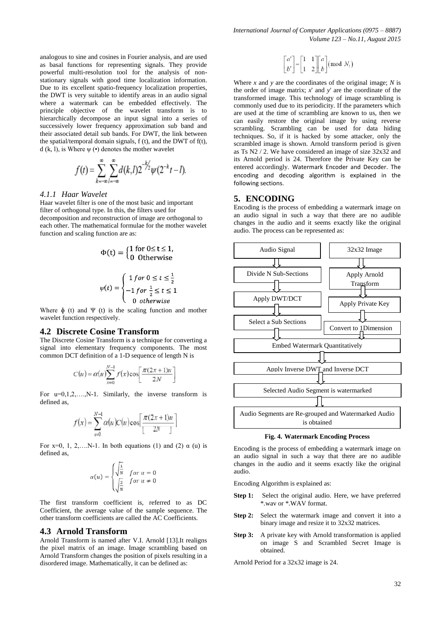analogous to sine and cosines in Fourier analysis, and are used as basal functions for representing signals. They provide powerful multi-resolution tool for the analysis of nonstationary signals with good time localization information. Due to its excellent spatio-frequency localization properties, the DWT is very suitable to identify areas in an audio signal where a watermark can be embedded effectively. The principle objective of the wavelet transform is to hierarchically decompose an input signal into a series of successively lower frequency approximation sub band and their associated detail sub bands. For DWT, the link between the spatial/temporal domain signals, f (t), and the DWT of f(t), d (k, l), is Where  $\psi$  ( $\bullet$ ) denotes the mother wavelet

$$
f(t) = \sum_{k=-\infty}^{\infty} \sum_{l=-\infty}^{\infty} d(k,l) 2^{-k/2} \psi(2^{-k}t - l).
$$

## *4.1.1 Haar Wavelet*

Haar wavelet filter is one of the most basic and important filter of orthogonal type. In this, the filters used for decomposition and reconstruction of image are orthogonal to each other. The mathematical formulae for the mother wavelet function and scaling function are as:

$$
\Phi(t) = \begin{cases} 1 \text{ for } 0 \le t \le 1, \\ 0 \text{ Otherwise} \end{cases}
$$

$$
\psi(t) = \begin{cases} 1 \text{ for } 0 \le t \le \frac{1}{2} \\ -1 \text{ for } \frac{1}{2} \le t \le 1 \\ 0 \text{ otherwise} \end{cases}
$$

Where  $\phi$  (t) and  $\Psi$  (t) is the scaling function and mother wavelet function respectively.

## **4.2 Discrete Cosine Transform**

The Discrete Cosine Transform is a technique for converting a signal into elementary frequency components. The most common DCT definition of a 1-D sequence of length N is

$$
C(u) = \alpha(u) \sum_{x=0}^{N-1} f(x) \cos \left[ \frac{\pi (2x+1)u}{2N} \right]
$$

For  $u=0,1,2,...,N-1$ . Similarly, the inverse transform is defined as,

$$
f(x) = \sum_{u=0}^{N-1} \alpha(u)C(u)\cos\left[\frac{\pi(2x+1)u}{2N}\right]
$$

For x=0, 1, 2,...,N-1. In both equations (1) and (2)  $\alpha$  (u) is defined as,

$$
\alpha(u) = \begin{cases} \sqrt{\frac{1}{N}} & \text{for } u = 0\\ \sqrt{\frac{2}{N}} & \text{for } u \neq 0 \end{cases}
$$

The first transform coefficient is, referred to as DC Coefficient, the average value of the sample sequence. The other transform coefficients are called the AC Coefficients.

## **4.3 Arnold Transform**

Arnold Transform is named after V.I. Arnold [13].It realigns the pixel matrix of an image. Image scrambling based on Arnold Transform changes the position of pixels resulting in a disordered image. Mathematically, it can be defined as:

$$
\begin{bmatrix} a' \\ b' \end{bmatrix} = \begin{bmatrix} 1 & 1 \\ 1 & 2 \end{bmatrix} \begin{bmatrix} a \\ b \end{bmatrix} \text{(mod } N_i)
$$

Where  $x$  and  $y$  are the coordinates of the original image;  $N$  is the order of image matrix; *x*' and *y*' are the coordinate of the transformed image. This technology of image scrambling is commonly used due to its periodicity. If the parameters which are used at the time of scrambling are known to us, then we can easily restore the original image by using reverse scrambling. Scrambling can be used for data hiding techniques. So, if it is hacked by some attacker, only the scrambled image is shown. Arnold transform period is given as Ts N2 / 2. We have considered an image of size 32x32 and its Arnold period is 24. Therefore the Private Key can be entered accordingly. Watermark Encoder and Decoder. The encoding and decoding algorithm is explained in the following sections.

#### **5. ENCODING**

Encoding is the process of embedding a watermark image on an audio signal in such a way that there are no audible changes in the audio and it seems exactly like the original audio. The process can be represented as:





Encoding is the process of embedding a watermark image on an audio signal in such a way that there are no audible changes in the audio and it seems exactly like the original audio.

Encoding Algorithm is explained as:

- **Step 1:** Select the original audio. Here, we have preferred \*.wav or \*.WAV format.
- **Step 2:** Select the watermark image and convert it into a binary image and resize it to 32x32 matrices.
- **Step 3:** A private key with Arnold transformation is applied on image S and Scrambled Secret Image is obtained.

Arnold Period for a 32x32 image is 24.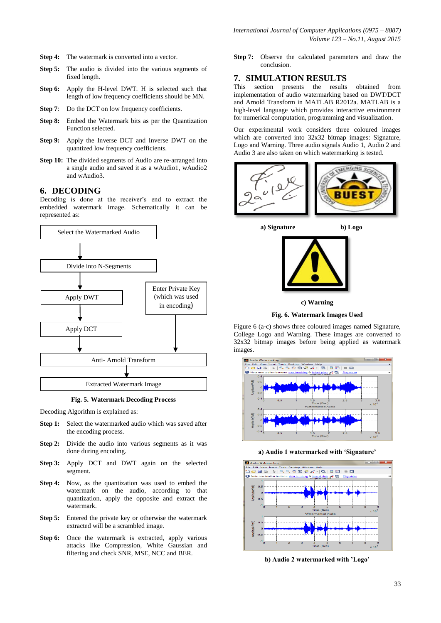- **Step 4:** The watermark is converted into a vector.
- **Step 5:** The audio is divided into the various segments of fixed length.
- **Step 6:** Apply the H-level DWT. H is selected such that length of low frequency coefficients should be MN.
- **Step 7:** Do the DCT on low frequency coefficients.
- **Step 8:** Embed the Watermark bits as per the Quantization Function selected.
- **Step 9:** Apply the Inverse DCT and Inverse DWT on the quantized low frequency coefficients.
- **Step 10:** The divided segments of Audio are re-arranged into a single audio and saved it as a wAudio1, wAudio2 and wAudio3.

# **6. DECODING**

Decoding is done at the receiver's end to extract the embedded watermark image. Schematically it can be represented as:



**Fig. 5. Watermark Decoding Process**

Decoding Algorithm is explained as:

- **Step 1:** Select the watermarked audio which was saved after the encoding process.
- **Step 2:** Divide the audio into various segments as it was done during encoding.
- **Step 3:** Apply DCT and DWT again on the selected segment.
- **Step 4:** Now, as the quantization was used to embed the watermark on the audio, according to that quantization, apply the opposite and extract the watermark.
- **Step 5:** Entered the private key or otherwise the watermark extracted will be a scrambled image.
- Step 6: Once the watermark is extracted, apply various attacks like Compression, White Gaussian and filtering and check SNR, MSE, NCC and BER.

**Step 7:** Observe the calculated parameters and draw the conclusion.

#### **7. SIMULATION RESULTS**

This section presents the results obtained from implementation of audio watermarking based on DWT/DCT and Arnold Transform in MATLAB R2012a. MATLAB is a high-level language which provides interactive environment for numerical computation, programming and visualization.

Our experimental work considers three coloured images which are converted into 32x32 bitmap images: Signature, Logo and Warning. Three audio signals Audio 1, Audio 2 and Audio 3 are also taken on which watermarking is tested.



**a) Signature b) Logo**





**Fig. 6. Watermark Images Used** 

Figure 6 (a-c) shows three coloured images named Signature, College Logo and Warning. These images are converted to 32x32 bitmap images before being applied as watermark images.



**a) Audio 1 watermarked with 'Signature'**



**b) Audio 2 watermarked with 'Logo'**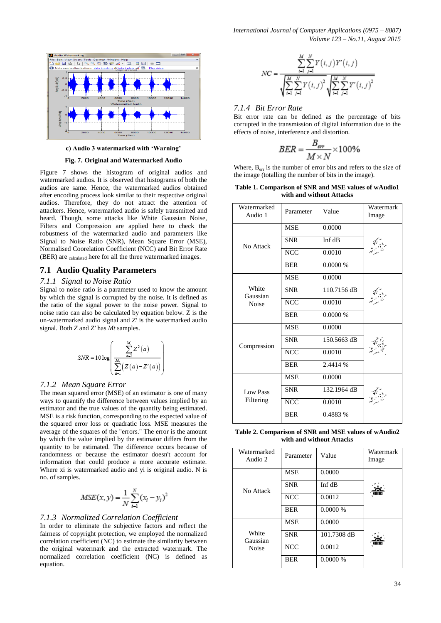*International Journal of Computer Applications (0975 – 8887) Volume 123 – No.11, August 2015*



#### **c) Audio 3 watermarked with 'Warning'**

#### **Fig. 7. Original and Watermarked Audio**

Figure 7 shows the histogram of original audios and watermarked audios. It is observed that histograms of both the audios are same. Hence, the watermarked audios obtained after encoding process look similar to their respective original audios. Therefore, they do not attract the attention of attackers. Hence, watermarked audio is safely transmitted and heard. Though, some attacks like White Gaussian Noise, Filters and Compression are applied here to check the robustness of the watermarked audio and parameters like Signal to Noise Ratio (SNR), Mean Square Error (MSE), Normalised Coorelation Coefficient (NCC) and Bit Error Rate (BER) are <sub>calculated</sub> here for all the three watermarked images.

## **7.1 Audio Quality Parameters**

#### *7.1.1 Signal to Noise Ratio*

Signal to noise ratio is a parameter used to know the amount by which the signal is corrupted by the noise. It is defined as the ratio of the signal power to the noise power. Signal to noise ratio can also be calculated by equation below. Z is the un-watermarked audio signal and *Z'* is the watermarked audio signal. Both *Z* and *Z'* has *Mt* samples.

$$
SNR = 10 \log \left( \frac{\sum_{a=1}^{M_r} Z^2(a)}{\sum_{a=1}^{M_r} \left( Z(a) - Z'(a) \right)} \right)
$$

#### *7.1.2 Mean Square Error*

The mean squared error (MSE) of an estimator is one of many ways to quantify the difference between values implied by an estimator and the true values of the quantity being estimated. MSE is a risk function, corresponding to the expected value of the squared error loss or quadratic loss. MSE measures the average of the squares of the "errors." The error is the amount by which the value implied by the estimator differs from the quantity to be estimated. The difference occurs because of randomness or because the estimator doesn't account for information that could produce a more accurate estimate. Where xi is watermarked audio and yi is original audio. N is no. of samples.

$$
MSE(x, y) = \frac{1}{N} \sum_{i=1}^{N} (x_i - y_i)^2
$$

# *7.1.3 Normalized Correlation Coefficient*

In order to eliminate the subjective factors and reflect the fairness of copyright protection, we employed the normalized correlation coefficient (NC) to estimate the similarity between the original watermark and the extracted watermark. The normalized correlation coefficient (NC) is defined as equation.

$$
NC = \frac{\sum_{i=1}^{M} \sum_{j=1}^{N} Y(i, j) Y'(i, j)}{\sqrt{\sum_{i=1}^{M} \sum_{j=1}^{N} Y(i, j)^{2}} \sqrt{\sum_{i=1}^{M} \sum_{j=1}^{N} Y'(i, j)^{2}}}
$$

## *7.1.4 Bit Error Rate*

Bit error rate can be defined as the percentage of bits corrupted in the transmission of digital information due to the effects of noise, interference and distortion.

$$
BER = \frac{B_{err}}{M \times N} \times 100\%
$$

Where,  $B_{err}$  is the number of error bits and refers to the size of the image (totalling the number of bits in the image).

**Table 1. Comparison of SNR and MSE values of wAudio1 with and without Attacks**

| Watermarked<br>Audio 1       | Parameter  | Value       | Watermark<br>Image |
|------------------------------|------------|-------------|--------------------|
| No Attack                    | <b>MSE</b> | 0.0000      |                    |
|                              | <b>SNR</b> | Inf dB      |                    |
|                              | <b>NCC</b> | 0.0010      |                    |
|                              | <b>BER</b> | $0.0000\%$  |                    |
| White<br>Gaussian<br>Noise   | <b>MSE</b> | 0.0000      |                    |
|                              | <b>SNR</b> | 110.7156 dB |                    |
|                              | <b>NCC</b> | 0.0010      |                    |
|                              | <b>BER</b> | 0.0000%     |                    |
| Compression                  | <b>MSE</b> | 0.0000      |                    |
|                              | <b>SNR</b> | 150.5663 dB |                    |
|                              | <b>NCC</b> | 0.0010      |                    |
|                              | <b>BER</b> | 2.4414 %    |                    |
| <b>Low Pass</b><br>Filtering | <b>MSE</b> | 0.0000      |                    |
|                              | <b>SNR</b> | 132.1964 dB |                    |
|                              | <b>NCC</b> | 0.0010      |                    |
|                              | <b>BER</b> | 0.4883 %    |                    |
|                              |            |             |                    |

**Table 2. Comparison of SNR and MSE values of wAudio2 with and without Attacks**

| Watermarked<br>Audio 2     | Parameter  | Value       | Watermark<br>Image |
|----------------------------|------------|-------------|--------------------|
| No Attack                  | <b>MSE</b> | 0.0000      |                    |
|                            | <b>SNR</b> | Inf dB      |                    |
|                            | <b>NCC</b> | 0.0012      |                    |
|                            | <b>BER</b> | 0.0000%     |                    |
| White<br>Gaussian<br>Noise | <b>MSE</b> | 0.0000      |                    |
|                            | <b>SNR</b> | 101.7308 dB |                    |
|                            | <b>NCC</b> | 0.0012      |                    |
|                            | <b>BER</b> | 0.0000%     |                    |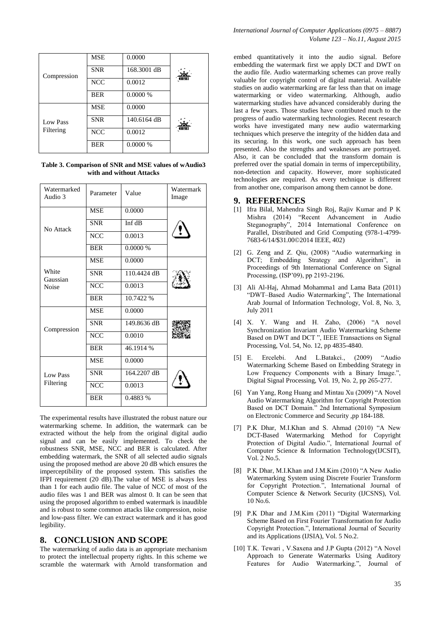| Compression                  | <b>MSE</b> | 0.0000      |  |
|------------------------------|------------|-------------|--|
|                              | <b>SNR</b> | 168.3001 dB |  |
|                              | <b>NCC</b> | 0.0012      |  |
|                              | <b>BER</b> | $0.0000\%$  |  |
| <b>Low Pass</b><br>Filtering | <b>MSE</b> | 0.0000      |  |
|                              | <b>SNR</b> | 140.6164 dB |  |
|                              | <b>NCC</b> | 0.0012      |  |
|                              | <b>BER</b> | 0.0000%     |  |

**Table 3. Comparison of SNR and MSE values of wAudio3 with and without Attacks**

| Watermarked<br>Audio 3            | Parameter  | Value       | Watermark<br>Image |
|-----------------------------------|------------|-------------|--------------------|
| No Attack                         | <b>MSE</b> | 0.0000      |                    |
|                                   | <b>SNR</b> | Inf dB      |                    |
|                                   | <b>NCC</b> | 0.0013      |                    |
|                                   | <b>BER</b> | 0.0000 %    |                    |
| White<br>Gaussian<br><b>Noise</b> | <b>MSE</b> | 0.0000      |                    |
|                                   | <b>SNR</b> | 110.4424 dB |                    |
|                                   | <b>NCC</b> | 0.0013      |                    |
|                                   | <b>BER</b> | 10.7422 %   |                    |
| Compression                       | <b>MSE</b> | 0.0000      |                    |
|                                   | <b>SNR</b> | 149.8636 dB |                    |
|                                   | <b>NCC</b> | 0.0010      |                    |
|                                   | <b>BER</b> | 46.1914 %   |                    |
| <b>Low Pass</b><br>Filtering      | <b>MSE</b> | 0.0000      |                    |
|                                   | <b>SNR</b> | 164.2207 dB |                    |
|                                   | <b>NCC</b> | 0.0013      |                    |
|                                   | <b>BER</b> | 0.4883 %    |                    |

The experimental results have illustrated the robust nature our watermarking scheme. In addition, the watermark can be extracted without the help from the original digital audio signal and can be easily implemented. To check the robustness SNR, MSE, NCC and BER is calculated. After embedding watermark, the SNR of all selected audio signals using the proposed method are above 20 dB which ensures the imperceptibility of the proposed system. This satisfies the IFPI requirement (20 dB).The value of MSE is always less than 1 for each audio file. The value of NCC of most of the audio files was 1 and BER was almost 0. It can be seen that using the proposed algorithm to embed watermark is inaudible and is robust to some common attacks like compression, noise and low-pass filter. We can extract watermark and it has good legibility.

# **8. CONCLUSION AND SCOPE**

The watermarking of audio data is an appropriate mechanism to protect the intellectual property rights. In this scheme we scramble the watermark with Arnold transformation and

embed quantitatively it into the audio signal. Before embedding the watermark first we apply DCT and DWT on the audio file. Audio watermarking schemes can prove really valuable for copyright control of digital material. Available studies on audio watermarking are far less than that on image watermarking or video watermarking. Although, audio watermarking studies have advanced considerably during the last a few years. Those studies have contributed much to the progress of audio watermarking technologies. Recent research works have investigated many new audio watermarking techniques which preserve the integrity of the hidden data and its securing. In this work, one such approach has been presented. Also the strengths and weaknesses are portrayed. Also, it can be concluded that the transform domain is preferred over the spatial domain in terms of imperceptibility, non-detection and capacity. However, more sophisticated technologies are required. As every technique is different from another one, comparison among them cannot be done.

## **9. REFERENCES**

- [1] Ifra Bilal, Mahendra Singh Roj, Rajiv Kumar and P K Mishra (2014) "Recent Advancement in Audio Steganography", 2014 International Conference on Parallel, Distributed and Grid Computing (978-1-4799- 7683-6/14/\$31.00©2014 IEEE, 402)
- [2] G. Zeng and Z. Qiu, (2008) "Audio watermarking in DCT; Embedding Strategy and Algorithm", in Proceedings of 9th International Conference on Signal Processing, (ISP'09), pp 2193-2196.
- [3] Ali Al-Haj, Ahmad Mohamma1 and Lama Bata (2011) "DWT–Based Audio Watermarking", The International Arab Journal of Information Technology, Vol. 8, No. 3, July 2011
- [4] X. Y. Wang and H. Zaho, (2006) "A novel Synchronization Invariant Audio Watermarking Scheme Based on DWT and DCT ", IEEE Transactions on Signal Processing, Vol. 54, No. 12, pp 4835-4840.
- [5] E. Ercelebi. And L.Batakci., (2009) "Audio Watermarking Scheme Based on Embedding Strategy in Low Frequency Components with a Binary Image.", Digital Signal Processing, Vol. 19, No. 2, pp 265-277.
- [6] Yan Yang, Rong Huang and Mintau Xu (2009) "A Novel Audio Watermarking Algorithm for Copyright Protection Based on DCT Domain." 2nd International Symposium on Electronic Commerce and Security ,pp 184-188.
- [7] P.K Dhar, M.I.Khan and S. Ahmad (2010) "A New DCT-Based Watermarking Method for Copyright Protection of Digital Audio.", International Journal of Computer Science & Information Technology(IJCSIT), Vol. 2 No.5.
- [8] P.K Dhar, M.I.Khan and J.M.Kim (2010) "A New Audio Watermarking System using Discrete Fourier Transform for Copyright Protection.", International Journal of Computer Science & Network Security (IJCSNS), Vol.  $10 \overline{N_0}$ .6.
- [9] P.K Dhar and J.M.Kim (2011) "Digital Watermarking Scheme Based on First Fourier Transformation for Audio Copyright Protection.", International Journal of Security and its Applications (IJSIA), Vol. 5 No.2.
- [10] T.K. Tewari , V.Saxena and J.P Gupta (2012) "A Novel Approach to Generate Watermarks Using Auditory Features for Audio Watermarking.", Journal of